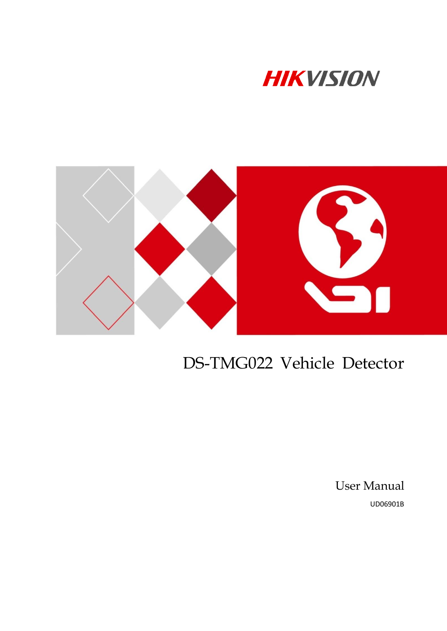



# DS-TMG022 Vehicle Detector

User Manual UD06901B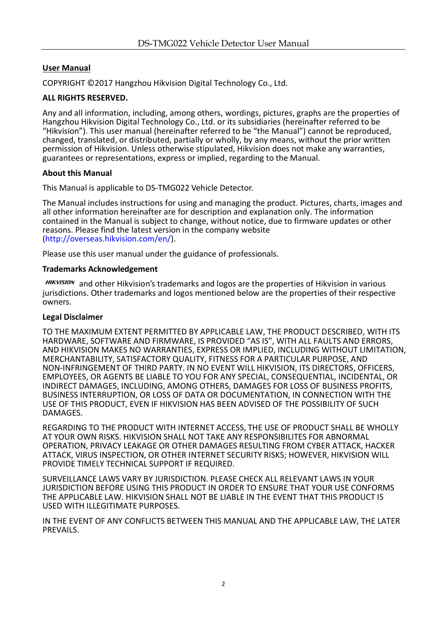### **User Manual**

COPYRIGHT © 2017 Hangzhou Hikvision Digital Technology Co., Ltd.

#### **ALL RIGHTS RESERVED.**

Any and all information, including, among others, wordings, pictures, graphs are the properties of Hangzhou Hikvision Digital Technology Co., Ltd. or its subsidiaries (hereinafter referred to be "Hikvision"). This user manual (hereinafter referred to be "the Manual") cannot be reproduced, changed, translated, or distributed, partially or wholly, by any means, without the prior written permission of Hikvision. Unless otherwise stipulated, Hikvision does not make any warranties, guarantees or representations, express or implied, regarding to the Manual.

#### **About this Manual**

This Manual is applicable to DS-TMG022 Vehicle Detector.

The Manual includes instructions for using and managing the product. Pictures, charts, images and all other information hereinafter are for description and explanation only. The information contained in the Manual is subject to change, without notice, due to firmware updates or other reasons. Please find the latest version in the company website [\(http://overseas.hikvision.com/en/\)](http://overseas.hikvision.com/en/).

Please use this user manual under the guidance of professionals.

#### **Trademarks Acknowledgement**

HIKVISION and other Hikvision's trademarks and logos are the properties of Hikvision in various jurisdictions. Other trademarks and logos mentioned below are the properties of their respective owners.

#### **Legal Disclaimer**

TO THE MAXIMUM EXTENT PERMITTED BY APPLICABLE LAW, THE PRODUCT DESCRIBED, WITH ITS HARDWARE, SOFTWARE AND FIRMWARE, IS PROVIDED "AS IS", WITH ALL FAULTS AND ERRORS, AND HIKVISION MAKES NO WARRANTIES, EXPRESS OR IMPLIED, INCLUDING WITHOUT LIMITATION, MERCHANTABILITY, SATISFACTORY QUALITY, FITNESS FOR A PARTICULAR PURPOSE, AND NON-INFRINGEMENT OF THIRD PARTY. IN NO EVENT WILL HIKVISION, ITS DIRECTORS, OFFICERS, EMPLOYEES, OR AGENTS BE LIABLE TO YOU FOR ANY SPECIAL, CONSEQUENTIAL, INCIDENTAL, OR INDIRECT DAMAGES, INCLUDING, AMONG OTHERS, DAMAGES FOR LOSS OF BUSINESS PROFITS, BUSINESS INTERRUPTION, OR LOSS OF DATA OR DOCUMENTATION, IN CONNECTION WITH THE USE OF THIS PRODUCT, EVEN IF HIKVISION HAS BEEN ADVISED OF THE POSSIBILITY OF SUCH DAMAGES.

REGARDING TO THE PRODUCT WITH INTERNET ACCESS, THE USE OF PRODUCT SHALL BE WHOLLY AT YOUR OWN RISKS. HIKVISION SHALL NOT TAKE ANY RESPONSIBILITES FOR ABNORMAL OPERATION, PRIVACY LEAKAGE OR OTHER DAMAGES RESULTING FROM CYBER ATTACK, HACKER ATTACK, VIRUS INSPECTION, OR OTHER INTERNET SECURITY RISKS; HOWEVER, HIKVISION WILL PROVIDE TIMELY TECHNICAL SUPPORT IF REQUIRED.

SURVEILLANCE LAWS VARY BY JURISDICTION. PLEASE CHECK ALL RELEVANT LAWS IN YOUR JURISDICTION BEFORE USING THIS PRODUCT IN ORDER TO ENSURE THAT YOUR USE CONFORMS THE APPLICABLE LAW. HIKVISION SHALL NOT BE LIABLE IN THE EVENT THAT THIS PRODUCT IS USED WITH ILLEGITIMATE PURPOSES.

IN THE EVENT OF ANY CONFLICTS BETWEEN THIS MANUAL AND THE APPLICABLE LAW, THE LATER PREVAILS.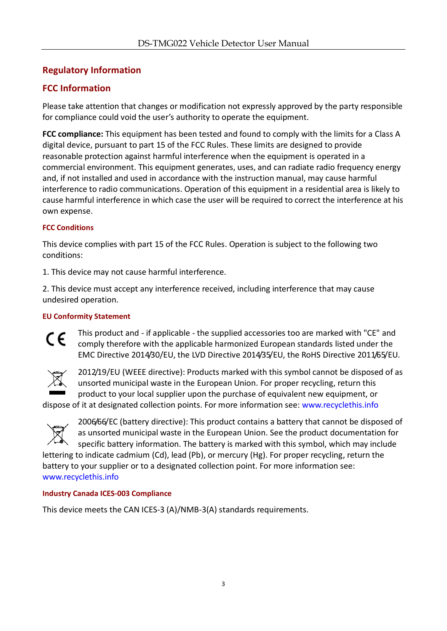### **Regulatory Information**

### **FCC Information**

Please take attention that changes or modification not expressly approved by the party responsible for compliance could void the user's authority to operate the equipment.

**FCC compliance:** This equipment has been tested and found to comply with the limits for a Class A digital device, pursuant to part 15 of the FCC Rules. These limits are designed to provide reasonable protection against harmful interference when the equipment is operated in a commercial environment. This equipment generates, uses, and can radiate radio frequency energy and, if not installed and used in accordance with the instruction manual, may cause harmful interference to radio communications. Operation of this equipment in a residential area is likely to cause harmful interference in which case the user will be required to correct the interference at his own expense.

### **FCC Conditions**

This device complies with part 15 of the FCC Rules. Operation is subject to the following two conditions:

1. This device may not cause harmful interference.

2. This device must accept any interference received, including interference that may cause undesired operation.

### **EU Conformity Statement**

This product and - if applicable - the supplied accessories too are marked with "CE" and  $\epsilon$ comply therefore with the applicable harmonized European standards listed under the EMC Directive 2014/30/EU, the LVD Directive 2014/35/EU, the RoHS Directive 2011/65/EU.



2012/19/EU (WEEE directive): Products marked with this symbol cannot be disposed of as unsorted municipal waste in the European Union. For proper recycling, return this product to your local supplier upon the purchase of equivalent new equipment, or

dispose of it at designated collection points. For more information see: [www.recyclethis.info](http://www.recyclethis.info/)



2006/66/EC (battery directive): This product contains a battery that cannot be disposed of as unsorted municipal waste in the European Union. See the product documentation for specific battery information. The battery is marked with this symbol, which may include

lettering to indicate cadmium (Cd), lead (Pb), or mercury (Hg). For proper recycling, return the battery to your supplier or to a designated collection point. For more information see: [www.recyclethis.info](http://www.recyclethis.info/)

### **Industry Canada ICES-003 Compliance**

This device meets the CAN ICES-3 (A)/NMB-3(A) standards requirements.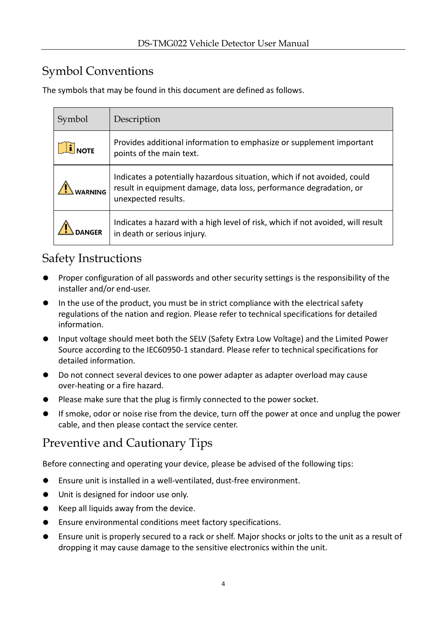### Symbol Conventions

The symbols that may be found in this document are defined as follows.

| Symbol      | Description                                                                                                                                                           |
|-------------|-----------------------------------------------------------------------------------------------------------------------------------------------------------------------|
| <b>NOTE</b> | Provides additional information to emphasize or supplement important<br>points of the main text.                                                                      |
|             | Indicates a potentially hazardous situation, which if not avoided, could<br>result in equipment damage, data loss, performance degradation, or<br>unexpected results. |
|             | Indicates a hazard with a high level of risk, which if not avoided, will result<br>in death or serious injury.                                                        |

### Safety Instructions

- **Proper configuration of all passwords and other security settings is the responsibility of the** installer and/or end-user.
- In the use of the product, you must be in strict compliance with the electrical safety regulations of the nation and region. Please refer to technical specifications for detailed information.
- Input voltage should meet both the SELV (Safety Extra Low Voltage) and the Limited Power Source according to the IEC60950-1 standard. Please refer to technical specifications for detailed information.
- Do not connect several devices to one power adapter as adapter overload may cause over-heating or a fire hazard.
- Please make sure that the plug is firmly connected to the power socket.
- If smoke, odor or noise rise from the device, turn off the power at once and unplug the power cable, and then please contact the service center.

### Preventive and Cautionary Tips

Before connecting and operating your device, please be advised of the following tips:

- Ensure unit is installed in a well-ventilated, dust-free environment.
- Unit is designed for indoor use only.
- $\bullet$  Keep all liquids away from the device.
- Ensure environmental conditions meet factory specifications.
- Ensure unit is properly secured to a rack or shelf. Major shocks or jolts to the unit as a result of dropping it may cause damage to the sensitive electronics within the unit.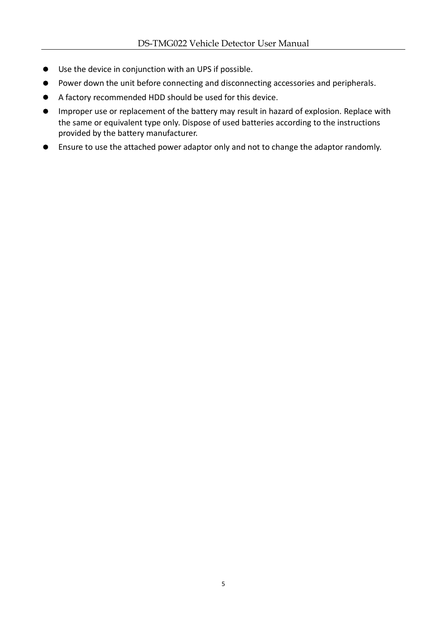- Use the device in conjunction with an UPS if possible.
- Power down the unit before connecting and disconnecting accessories and peripherals.
- A factory recommended HDD should be used for this device.
- Improper use or replacement of the battery may result in hazard of explosion. Replace with the same or equivalent type only. Dispose of used batteries according to the instructions provided by the battery manufacturer.
- Ensure to use the attached power adaptor only and not to change the adaptor randomly.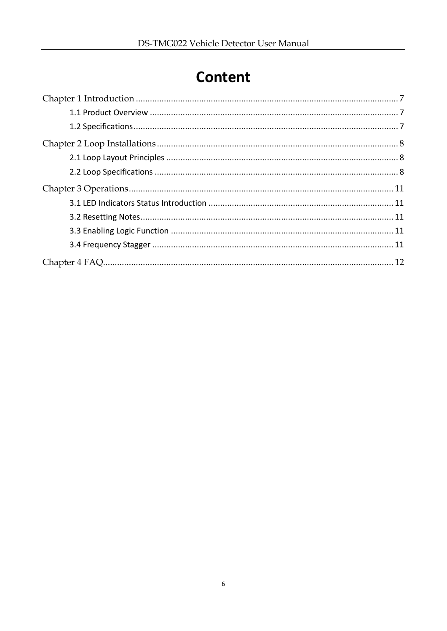## **Content**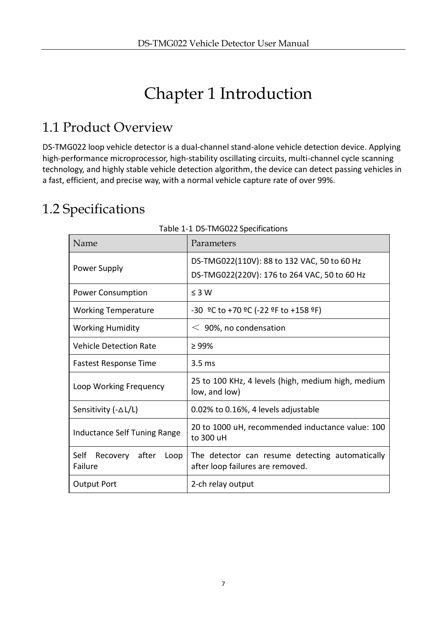# Chapter 1 Introduction

## <span id="page-6-1"></span><span id="page-6-0"></span>1.1 Product Overview

DS-TMG022 loop vehicle detector is a dual-channel stand-alone vehicle detection device. Applying high-performance microprocessor, high-stability oscillating circuits, multi-channel cycle scanning technology, and highly stable vehicle detection algorithm, the device can detect passing vehicles in a fast, efficient, and precise way, with a normal vehicle capture rate of over 99%.

## <span id="page-6-2"></span>1.2 Specifications

|                                           | rapic + + DJ TIVIOUZZ Specifications                                                        |
|-------------------------------------------|---------------------------------------------------------------------------------------------|
| Name                                      | Parameters                                                                                  |
| Power Supply                              | DS-TMG022(110V): 88 to 132 VAC, 50 to 60 Hz<br>DS-TMG022(220V): 176 to 264 VAC, 50 to 60 Hz |
| <b>Power Consumption</b>                  | $\leq 3 W$                                                                                  |
| <b>Working Temperature</b>                | $-30$ °C to +70 °C (-22 °F to +158 °F)                                                      |
| <b>Working Humidity</b>                   | $<$ 90%, no condensation                                                                    |
| <b>Vehicle Detection Rate</b>             | $\geq 99\%$                                                                                 |
| <b>Fastest Response Time</b>              | 3.5 <sub>ms</sub>                                                                           |
| Loop Working Frequency                    | 25 to 100 KHz, 4 levels (high, medium high, medium<br>low, and low)                         |
| Sensitivity (-△L/L)                       | 0.02% to 0.16%, 4 levels adjustable                                                         |
| Inductance Self Tuning Range              | 20 to 1000 uH, recommended inductance value: 100<br>to 300 uH                               |
| Self<br>Recovery after<br>Loop<br>Failure | The detector can resume detecting automatically<br>after loop failures are removed.         |
| <b>Output Port</b>                        | 2-ch relay output                                                                           |

#### Table 1-1 DS-TMG022 Specifications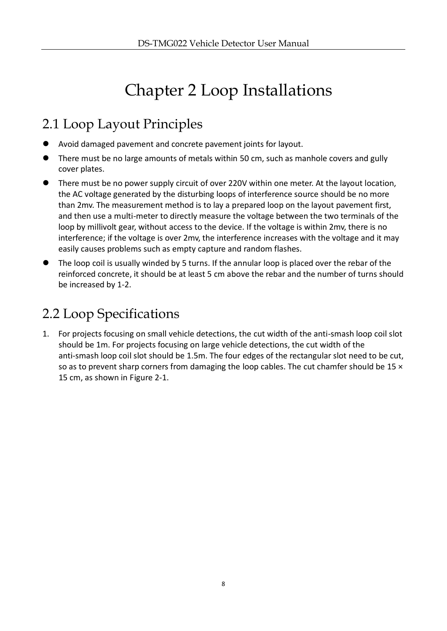# Chapter 2 Loop Installations

## <span id="page-7-1"></span><span id="page-7-0"></span>2.1 Loop Layout Principles

- Avoid damaged pavement and concrete pavement joints for layout.
- There must be no large amounts of metals within 50 cm, such as manhole covers and gully cover plates.
- There must be no power supply circuit of over 220V within one meter. At the layout location, the AC voltage generated by the disturbing loops of interference source should be no more than 2mv. The measurement method is to lay a prepared loop on the layout pavement first, and then use a multi-meter to directly measure the voltage between the two terminals of the loop by millivolt gear, without access to the device. If the voltage is within 2mv, there is no interference; if the voltage is over 2mv, the interference increases with the voltage and it may easily causes problems such as empty capture and random flashes.
- The loop coil is usually winded by 5 turns. If the annular loop is placed over the rebar of the reinforced concrete, it should be at least 5 cm above the rebar and the number of turns should be increased by 1-2.

## <span id="page-7-2"></span>2.2 Loop Specifications

1. For projects focusing on small vehicle detections, the cut width of the anti-smash loop coil slot should be 1m. For projects focusing on large vehicle detections, the cut width of the anti-smash loop coil slot should be 1.5m. The four edges of the rectangular slot need to be cut, so as to prevent sharp corners from damaging the loop cables. The cut chamfer should be 15  $\times$ 15 cm, as shown in Figure 2-1.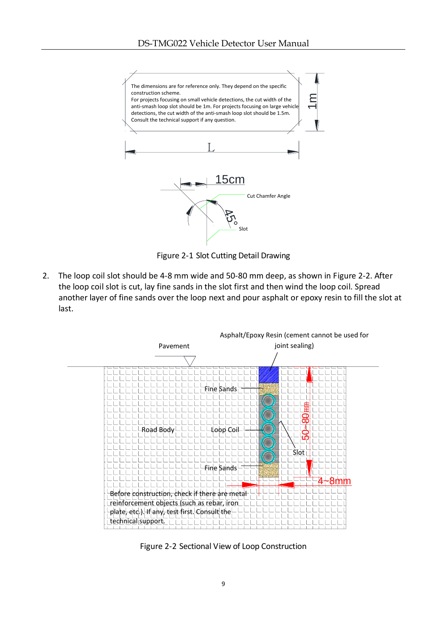

Figure 2-1 Slot Cutting Detail Drawing

2. The loop coil slot should be 4-8 mm wide and 50-80 mm deep, as shown in Figure 2-2. After the loop coil slot is cut, lay fine sands in the slot first and then wind the loop coil. Spread another layer of fine sands over the loop next and pour asphalt or epoxy resin to fill the slot at last.



Figure 2-2 Sectional View of Loop Construction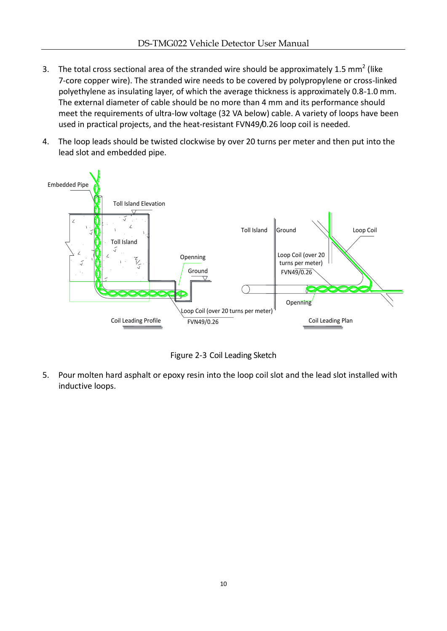- 3. The total cross sectional area of the stranded wire should be approximately 1.5 mm<sup>2</sup> (like 7-core copper wire). The stranded wire needs to be covered by polypropylene or cross-linked polyethylene as insulating layer, of which the average thickness is approximately 0.8-1.0 mm. The external diameter of cable should be no more than 4 mm and its performance should meet the requirements of ultra-low voltage (32 VA below) cable. A variety of loops have been used in practical projects, and the heat-resistant FVN49/0.26 loop coil is needed.
- 4. The loop leads should be twisted clockwise by over 20 turns per meter and then put into the lead slot and embedded pipe.



Figure 2-3 Coil Leading Sketch

5. Pour molten hard asphalt or epoxy resin into the loop coil slot and the lead slot installed with inductive loops.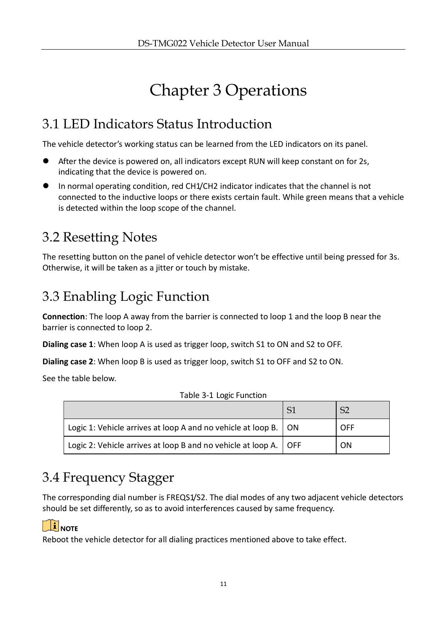# Chapter 3 Operations

## <span id="page-10-1"></span><span id="page-10-0"></span>3.1 LED Indicators Status Introduction

The vehicle detector's working status can be learned from the LED indicators on its panel.

- After the device is powered on, all indicators except RUN will keep constant on for 2s, indicating that the device is powered on.
- In normal operating condition, red CH1/CH2 indicator indicates that the channel is not connected to the inductive loops or there exists certain fault. While green means that a vehicle is detected within the loop scope of the channel.

## <span id="page-10-2"></span>3.2 Resetting Notes

The resetting button on the panel of vehicle detector won't be effective until being pressed for 3s. Otherwise, it will be taken as a jitter or touch by mistake.

## <span id="page-10-3"></span>3.3 Enabling Logic Function

**Connection**: The loop A away from the barrier is connected to loop 1 and the loop B near the barrier is connected to loop 2.

**Dialing case 1**: When loop A is used as trigger loop, switch S1 to ON and S2 to OFF.

**Dialing case 2**: When loop B is used as trigger loop, switch S1 to OFF and S2 to ON.

See the table below.

| Logic 1: Vehicle arrives at loop A and no vehicle at loop B.   ON  | <b>OFF</b> |
|--------------------------------------------------------------------|------------|
| Logic 2: Vehicle arrives at loop B and no vehicle at loop A.   OFF | <b>ON</b>  |

Table 3-1 Logic Function

## <span id="page-10-4"></span>3.4 Frequency Stagger

The corresponding dial number is FREQS1/S2. The dial modes of any two adjacent vehicle detectors should be set differently, so as to avoid interferences caused by same frequency.

### $\boxed{\mathbf{i}}$  NOTE

Reboot the vehicle detector for all dialing practices mentioned above to take effect.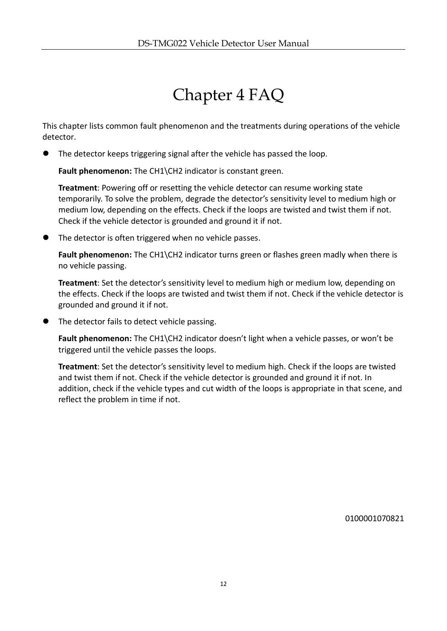## Chapter 4 FAQ

<span id="page-11-0"></span>This chapter lists common fault phenomenon and the treatments during operations of the vehicle detector.

The detector keeps triggering signal after the vehicle has passed the loop.

**Fault phenomenon:** The CH1\CH2 indicator is constant green.

**Treatment**: Powering off or resetting the vehicle detector can resume working state temporarily. To solve the problem, degrade the detector's sensitivity level to medium high or medium low, depending on the effects. Check if the loops are twisted and twist them if not. Check if the vehicle detector is grounded and ground it if not.

The detector is often triggered when no vehicle passes.

**Fault phenomenon:** The CH1\CH2 indicator turns green or flashes green madly when there is no vehicle passing.

**Treatment**: Set the detector's sensitivity level to medium high or medium low, depending on the effects. Check if the loops are twisted and twist them if not. Check if the vehicle detector is grounded and ground it if not.

• The detector fails to detect vehicle passing.

**Fault phenomenon:** The CH1\CH2 indicator doesn't light when a vehicle passes, or won't be triggered until the vehicle passes the loops.

**Treatment**: Set the detector's sensitivity level to medium high. Check if the loops are twisted and twist them if not. Check if the vehicle detector is grounded and ground it if not. In addition, check if the vehicle types and cut width of the loops is appropriate in that scene, and reflect the problem in time if not.

0100001070821